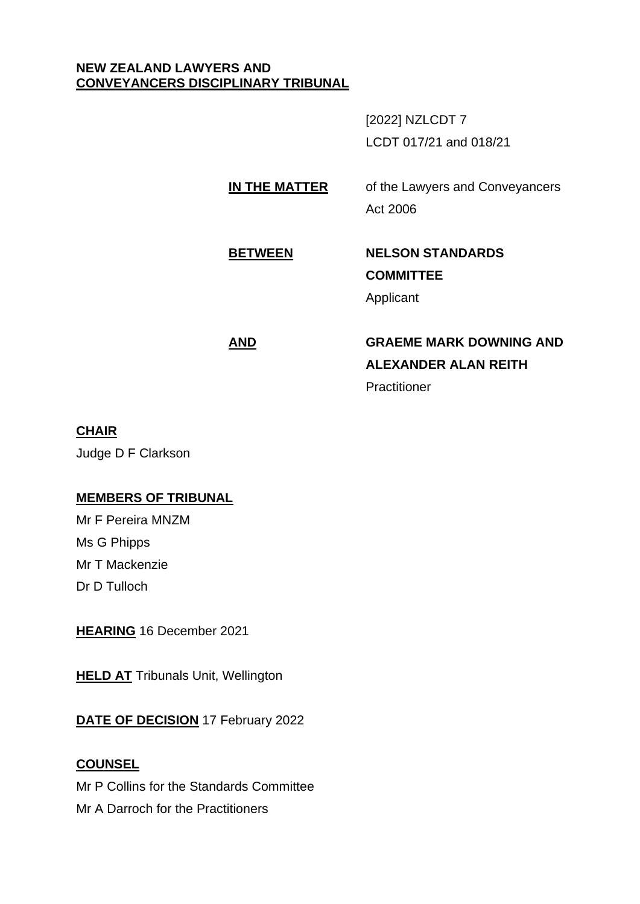## **NEW ZEALAND LAWYERS AND CONVEYANCERS DISCIPLINARY TRIBUNAL**

[2022] NZLCDT 7 LCDT 017/21 and 018/21

**IN THE MATTER** of the Lawyers and Conveyancers Act 2006

# **BETWEEN NELSON STANDARDS COMMITTEE**

Applicant

## **AND GRAEME MARK DOWNING AND ALEXANDER ALAN REITH Practitioner**

## **CHAIR**

Judge D F Clarkson

## **MEMBERS OF TRIBUNAL**

Mr F Pereira MNZM Ms G Phipps Mr T Mackenzie Dr D Tulloch

**HEARING** 16 December 2021

**HELD AT** Tribunals Unit, Wellington

**DATE OF DECISION** 17 February 2022

## **COUNSEL**

Mr P Collins for the Standards Committee Mr A Darroch for the Practitioners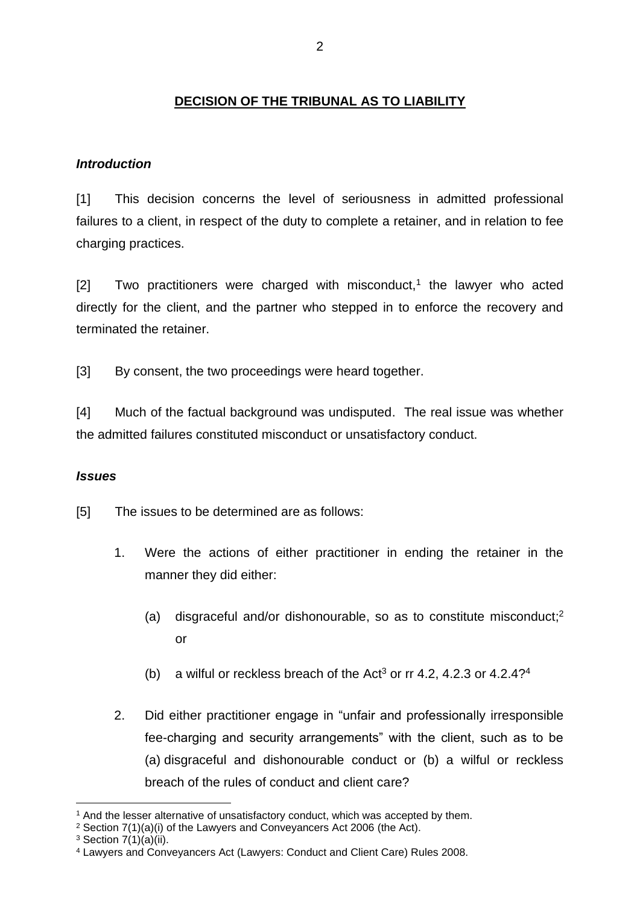## **DECISION OF THE TRIBUNAL AS TO LIABILITY**

## *Introduction*

[1] This decision concerns the level of seriousness in admitted professional failures to a client, in respect of the duty to complete a retainer, and in relation to fee charging practices.

 $[2]$  Two practitioners were charged with misconduct,<sup>1</sup> the lawyer who acted directly for the client, and the partner who stepped in to enforce the recovery and terminated the retainer.

[3] By consent, the two proceedings were heard together.

[4] Much of the factual background was undisputed. The real issue was whether the admitted failures constituted misconduct or unsatisfactory conduct.

## *Issues*

[5] The issues to be determined are as follows:

- 1. Were the actions of either practitioner in ending the retainer in the manner they did either:
	- (a) disgraceful and/or dishonourable, so as to constitute misconduct; 2 or
	- (b) a wilful or reckless breach of the Act<sup>3</sup> or rr 4.2, 4.2.3 or 4.2.4?<sup>4</sup>
- 2. Did either practitioner engage in "unfair and professionally irresponsible fee-charging and security arrangements" with the client, such as to be (a) disgraceful and dishonourable conduct or (b) a wilful or reckless breach of the rules of conduct and client care?

<sup>&</sup>lt;sup>1</sup> And the lesser alternative of unsatisfactory conduct, which was accepted by them.

<sup>2</sup> Section 7(1)(a)(i) of the Lawyers and Conveyancers Act 2006 (the Act).

 $3$  Section 7(1)(a)(ii).

<sup>4</sup> Lawyers and Conveyancers Act (Lawyers: Conduct and Client Care) Rules 2008.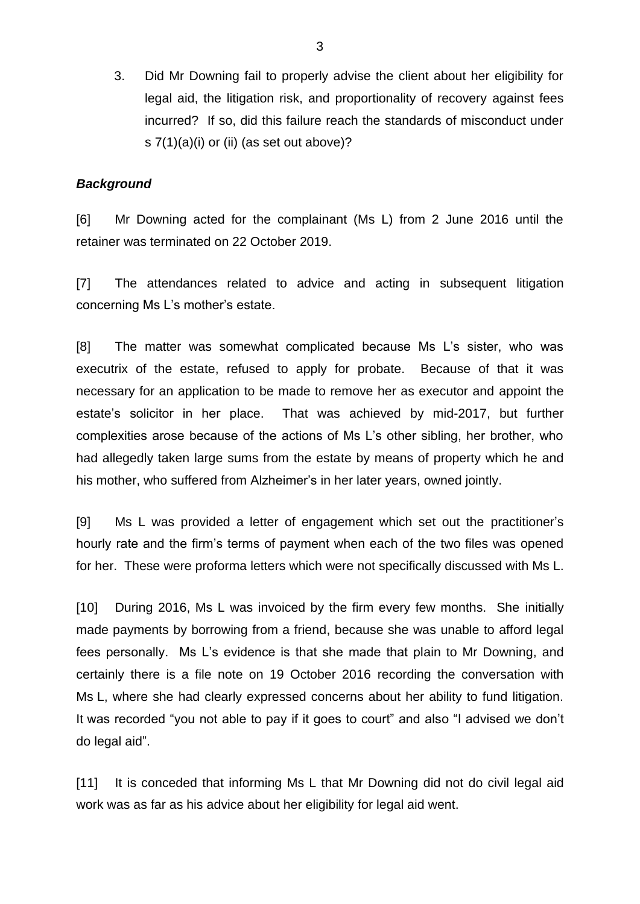3. Did Mr Downing fail to properly advise the client about her eligibility for legal aid, the litigation risk, and proportionality of recovery against fees incurred? If so, did this failure reach the standards of misconduct under s 7(1)(a)(i) or (ii) (as set out above)?

#### *Background*

[6] Mr Downing acted for the complainant (Ms L) from 2 June 2016 until the retainer was terminated on 22 October 2019.

[7] The attendances related to advice and acting in subsequent litigation concerning Ms L's mother's estate.

[8] The matter was somewhat complicated because Ms L's sister, who was executrix of the estate, refused to apply for probate. Because of that it was necessary for an application to be made to remove her as executor and appoint the estate's solicitor in her place. That was achieved by mid-2017, but further complexities arose because of the actions of Ms L's other sibling, her brother, who had allegedly taken large sums from the estate by means of property which he and his mother, who suffered from Alzheimer's in her later years, owned jointly.

[9] Ms L was provided a letter of engagement which set out the practitioner's hourly rate and the firm's terms of payment when each of the two files was opened for her. These were proforma letters which were not specifically discussed with Ms L.

[10] During 2016, Ms L was invoiced by the firm every few months. She initially made payments by borrowing from a friend, because she was unable to afford legal fees personally. Ms L's evidence is that she made that plain to Mr Downing, and certainly there is a file note on 19 October 2016 recording the conversation with Ms L, where she had clearly expressed concerns about her ability to fund litigation. It was recorded "you not able to pay if it goes to court" and also "I advised we don't do legal aid".

[11] It is conceded that informing Ms L that Mr Downing did not do civil legal aid work was as far as his advice about her eligibility for legal aid went.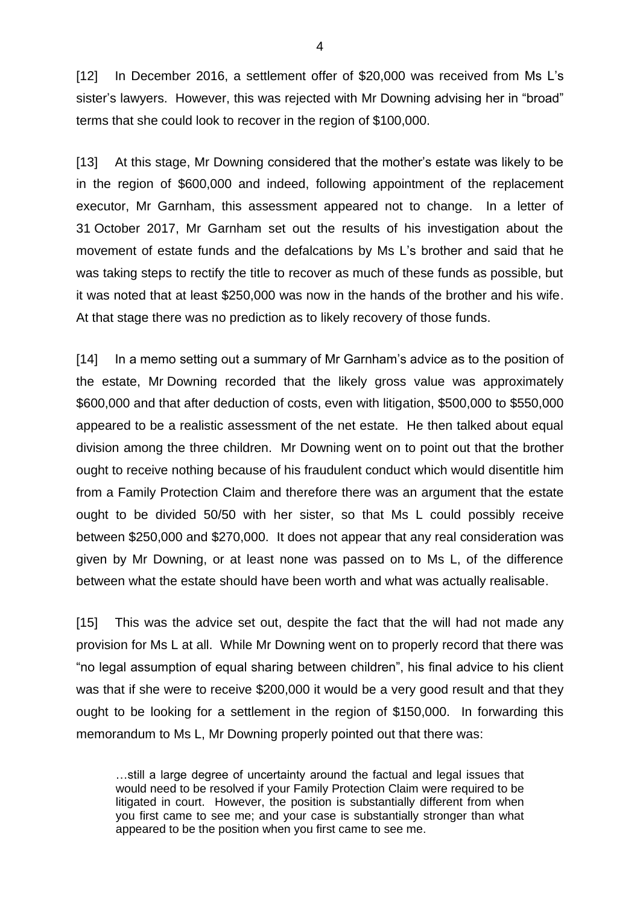[12] In December 2016, a settlement offer of \$20,000 was received from Ms L's sister's lawyers. However, this was rejected with Mr Downing advising her in "broad" terms that she could look to recover in the region of \$100,000.

[13] At this stage, Mr Downing considered that the mother's estate was likely to be in the region of \$600,000 and indeed, following appointment of the replacement executor, Mr Garnham, this assessment appeared not to change. In a letter of 31 October 2017, Mr Garnham set out the results of his investigation about the movement of estate funds and the defalcations by Ms L's brother and said that he was taking steps to rectify the title to recover as much of these funds as possible, but it was noted that at least \$250,000 was now in the hands of the brother and his wife. At that stage there was no prediction as to likely recovery of those funds.

[14] In a memo setting out a summary of Mr Garnham's advice as to the position of the estate, Mr Downing recorded that the likely gross value was approximately \$600,000 and that after deduction of costs, even with litigation, \$500,000 to \$550,000 appeared to be a realistic assessment of the net estate. He then talked about equal division among the three children. Mr Downing went on to point out that the brother ought to receive nothing because of his fraudulent conduct which would disentitle him from a Family Protection Claim and therefore there was an argument that the estate ought to be divided 50/50 with her sister, so that Ms L could possibly receive between \$250,000 and \$270,000. It does not appear that any real consideration was given by Mr Downing, or at least none was passed on to Ms L, of the difference between what the estate should have been worth and what was actually realisable.

[15] This was the advice set out, despite the fact that the will had not made any provision for Ms L at all. While Mr Downing went on to properly record that there was "no legal assumption of equal sharing between children", his final advice to his client was that if she were to receive \$200,000 it would be a very good result and that they ought to be looking for a settlement in the region of \$150,000. In forwarding this memorandum to Ms L, Mr Downing properly pointed out that there was:

…still a large degree of uncertainty around the factual and legal issues that would need to be resolved if your Family Protection Claim were required to be litigated in court. However, the position is substantially different from when you first came to see me; and your case is substantially stronger than what appeared to be the position when you first came to see me.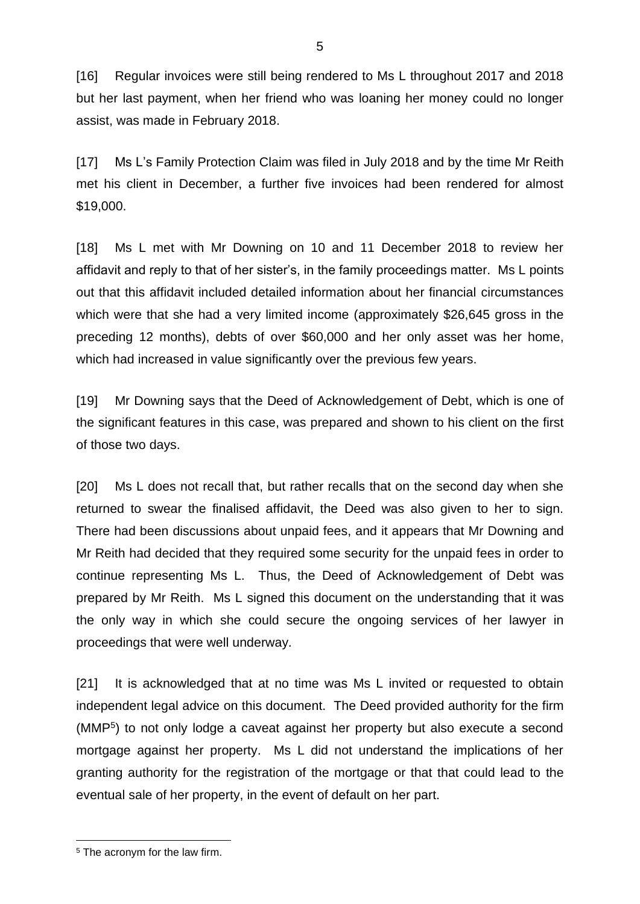[16] Regular invoices were still being rendered to Ms L throughout 2017 and 2018 but her last payment, when her friend who was loaning her money could no longer assist, was made in February 2018.

[17] Ms L's Family Protection Claim was filed in July 2018 and by the time Mr Reith met his client in December, a further five invoices had been rendered for almost \$19,000.

[18] Ms L met with Mr Downing on 10 and 11 December 2018 to review her affidavit and reply to that of her sister's, in the family proceedings matter. Ms L points out that this affidavit included detailed information about her financial circumstances which were that she had a very limited income (approximately \$26,645 gross in the preceding 12 months), debts of over \$60,000 and her only asset was her home, which had increased in value significantly over the previous few years.

[19] Mr Downing says that the Deed of Acknowledgement of Debt, which is one of the significant features in this case, was prepared and shown to his client on the first of those two days.

[20] Ms L does not recall that, but rather recalls that on the second day when she returned to swear the finalised affidavit, the Deed was also given to her to sign. There had been discussions about unpaid fees, and it appears that Mr Downing and Mr Reith had decided that they required some security for the unpaid fees in order to continue representing Ms L. Thus, the Deed of Acknowledgement of Debt was prepared by Mr Reith. Ms L signed this document on the understanding that it was the only way in which she could secure the ongoing services of her lawyer in proceedings that were well underway.

[21] It is acknowledged that at no time was Ms L invited or requested to obtain independent legal advice on this document. The Deed provided authority for the firm (MMP<sup>5</sup> ) to not only lodge a caveat against her property but also execute a second mortgage against her property. Ms L did not understand the implications of her granting authority for the registration of the mortgage or that that could lead to the eventual sale of her property, in the event of default on her part.

<sup>5</sup> The acronym for the law firm.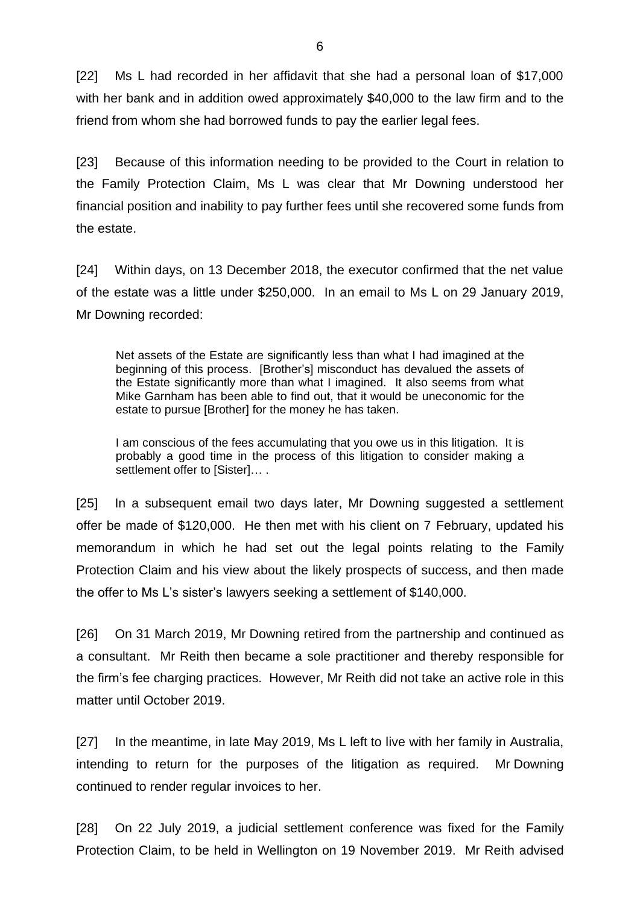[22] Ms L had recorded in her affidavit that she had a personal loan of \$17,000 with her bank and in addition owed approximately \$40,000 to the law firm and to the friend from whom she had borrowed funds to pay the earlier legal fees.

[23] Because of this information needing to be provided to the Court in relation to the Family Protection Claim, Ms L was clear that Mr Downing understood her financial position and inability to pay further fees until she recovered some funds from the estate.

[24] Within days, on 13 December 2018, the executor confirmed that the net value of the estate was a little under \$250,000. In an email to Ms L on 29 January 2019, Mr Downing recorded:

Net assets of the Estate are significantly less than what I had imagined at the beginning of this process. [Brother's] misconduct has devalued the assets of the Estate significantly more than what I imagined. It also seems from what Mike Garnham has been able to find out, that it would be uneconomic for the estate to pursue [Brother] for the money he has taken.

I am conscious of the fees accumulating that you owe us in this litigation. It is probably a good time in the process of this litigation to consider making a settlement offer to [Sister]....

[25] In a subsequent email two days later, Mr Downing suggested a settlement offer be made of \$120,000. He then met with his client on 7 February, updated his memorandum in which he had set out the legal points relating to the Family Protection Claim and his view about the likely prospects of success, and then made the offer to Ms L's sister's lawyers seeking a settlement of \$140,000.

[26] On 31 March 2019, Mr Downing retired from the partnership and continued as a consultant. Mr Reith then became a sole practitioner and thereby responsible for the firm's fee charging practices. However, Mr Reith did not take an active role in this matter until October 2019.

[27] In the meantime, in late May 2019, Ms L left to live with her family in Australia, intending to return for the purposes of the litigation as required. Mr Downing continued to render regular invoices to her.

[28] On 22 July 2019, a judicial settlement conference was fixed for the Family Protection Claim, to be held in Wellington on 19 November 2019. Mr Reith advised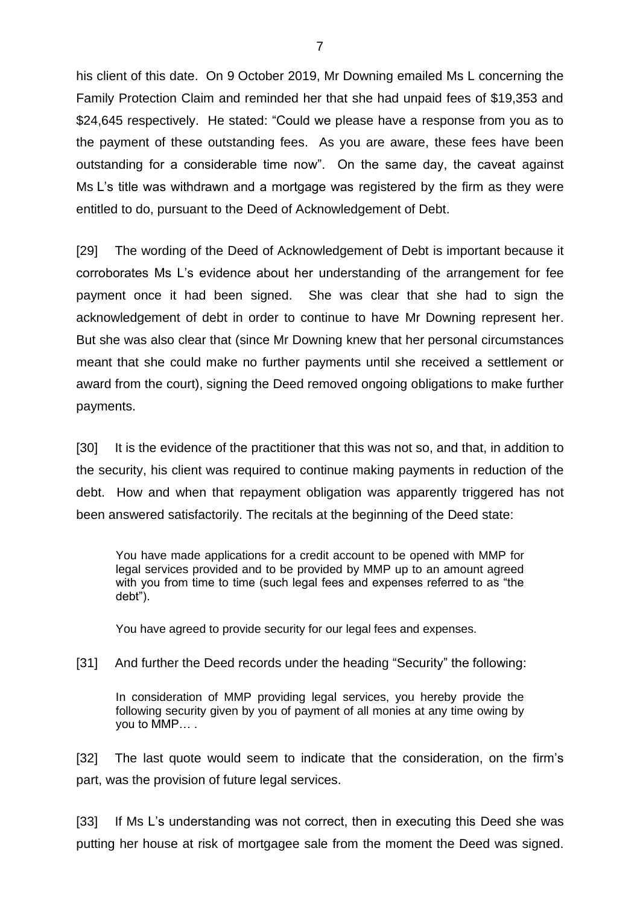his client of this date. On 9 October 2019, Mr Downing emailed Ms L concerning the Family Protection Claim and reminded her that she had unpaid fees of \$19,353 and \$24,645 respectively. He stated: "Could we please have a response from you as to the payment of these outstanding fees. As you are aware, these fees have been outstanding for a considerable time now". On the same day, the caveat against Ms L's title was withdrawn and a mortgage was registered by the firm as they were entitled to do, pursuant to the Deed of Acknowledgement of Debt.

[29] The wording of the Deed of Acknowledgement of Debt is important because it corroborates Ms L's evidence about her understanding of the arrangement for fee payment once it had been signed. She was clear that she had to sign the acknowledgement of debt in order to continue to have Mr Downing represent her. But she was also clear that (since Mr Downing knew that her personal circumstances meant that she could make no further payments until she received a settlement or award from the court), signing the Deed removed ongoing obligations to make further payments.

[30] It is the evidence of the practitioner that this was not so, and that, in addition to the security, his client was required to continue making payments in reduction of the debt. How and when that repayment obligation was apparently triggered has not been answered satisfactorily. The recitals at the beginning of the Deed state:

You have made applications for a credit account to be opened with MMP for legal services provided and to be provided by MMP up to an amount agreed with you from time to time (such legal fees and expenses referred to as "the debt").

You have agreed to provide security for our legal fees and expenses.

#### [31] And further the Deed records under the heading "Security" the following:

In consideration of MMP providing legal services, you hereby provide the following security given by you of payment of all monies at any time owing by you to MMP… .

[32] The last quote would seem to indicate that the consideration, on the firm's part, was the provision of future legal services.

[33] If Ms L's understanding was not correct, then in executing this Deed she was putting her house at risk of mortgagee sale from the moment the Deed was signed.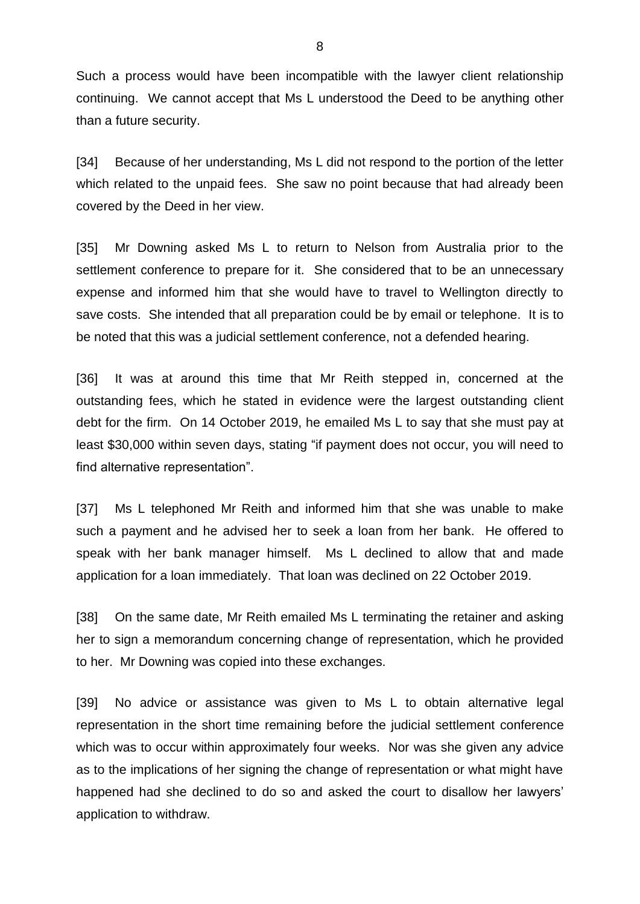Such a process would have been incompatible with the lawyer client relationship continuing. We cannot accept that Ms L understood the Deed to be anything other than a future security.

[34] Because of her understanding, Ms L did not respond to the portion of the letter which related to the unpaid fees. She saw no point because that had already been covered by the Deed in her view.

[35] Mr Downing asked Ms L to return to Nelson from Australia prior to the settlement conference to prepare for it. She considered that to be an unnecessary expense and informed him that she would have to travel to Wellington directly to save costs. She intended that all preparation could be by email or telephone. It is to be noted that this was a judicial settlement conference, not a defended hearing.

[36] It was at around this time that Mr Reith stepped in, concerned at the outstanding fees, which he stated in evidence were the largest outstanding client debt for the firm. On 14 October 2019, he emailed Ms L to say that she must pay at least \$30,000 within seven days, stating "if payment does not occur, you will need to find alternative representation".

[37] Ms L telephoned Mr Reith and informed him that she was unable to make such a payment and he advised her to seek a loan from her bank. He offered to speak with her bank manager himself. Ms L declined to allow that and made application for a loan immediately. That loan was declined on 22 October 2019.

[38] On the same date, Mr Reith emailed Ms L terminating the retainer and asking her to sign a memorandum concerning change of representation, which he provided to her. Mr Downing was copied into these exchanges.

[39] No advice or assistance was given to Ms L to obtain alternative legal representation in the short time remaining before the judicial settlement conference which was to occur within approximately four weeks. Nor was she given any advice as to the implications of her signing the change of representation or what might have happened had she declined to do so and asked the court to disallow her lawyers' application to withdraw.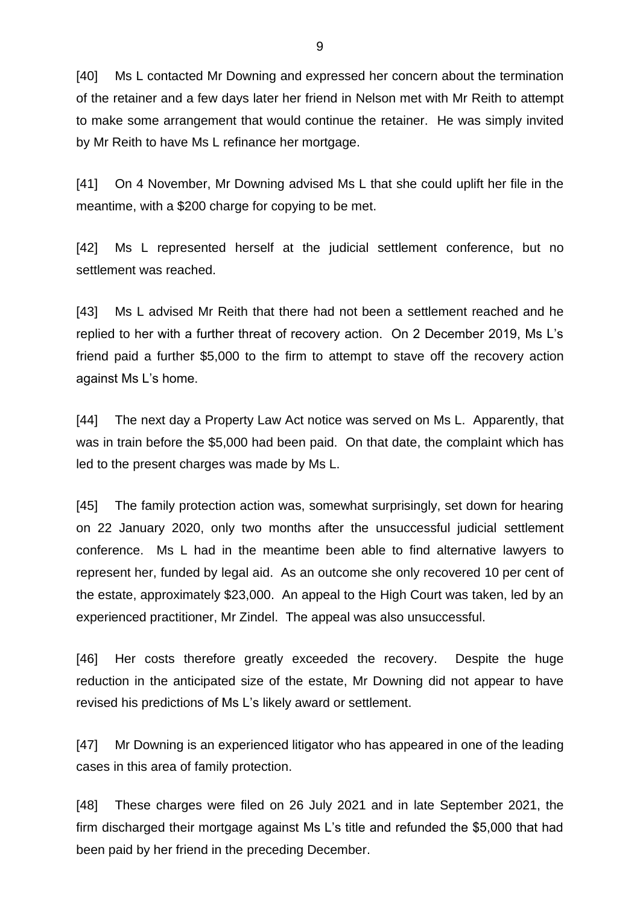[40] Ms L contacted Mr Downing and expressed her concern about the termination of the retainer and a few days later her friend in Nelson met with Mr Reith to attempt to make some arrangement that would continue the retainer. He was simply invited by Mr Reith to have Ms L refinance her mortgage.

[41] On 4 November, Mr Downing advised Ms L that she could uplift her file in the meantime, with a \$200 charge for copying to be met.

[42] Ms L represented herself at the judicial settlement conference, but no settlement was reached.

[43] Ms L advised Mr Reith that there had not been a settlement reached and he replied to her with a further threat of recovery action. On 2 December 2019, Ms L's friend paid a further \$5,000 to the firm to attempt to stave off the recovery action against Ms L's home.

[44] The next day a Property Law Act notice was served on Ms L. Apparently, that was in train before the \$5,000 had been paid. On that date, the complaint which has led to the present charges was made by Ms L.

[45] The family protection action was, somewhat surprisingly, set down for hearing on 22 January 2020, only two months after the unsuccessful judicial settlement conference. Ms L had in the meantime been able to find alternative lawyers to represent her, funded by legal aid. As an outcome she only recovered 10 per cent of the estate, approximately \$23,000. An appeal to the High Court was taken, led by an experienced practitioner, Mr Zindel. The appeal was also unsuccessful.

[46] Her costs therefore greatly exceeded the recovery. Despite the huge reduction in the anticipated size of the estate, Mr Downing did not appear to have revised his predictions of Ms L's likely award or settlement.

[47] Mr Downing is an experienced litigator who has appeared in one of the leading cases in this area of family protection.

[48] These charges were filed on 26 July 2021 and in late September 2021, the firm discharged their mortgage against Ms L's title and refunded the \$5,000 that had been paid by her friend in the preceding December.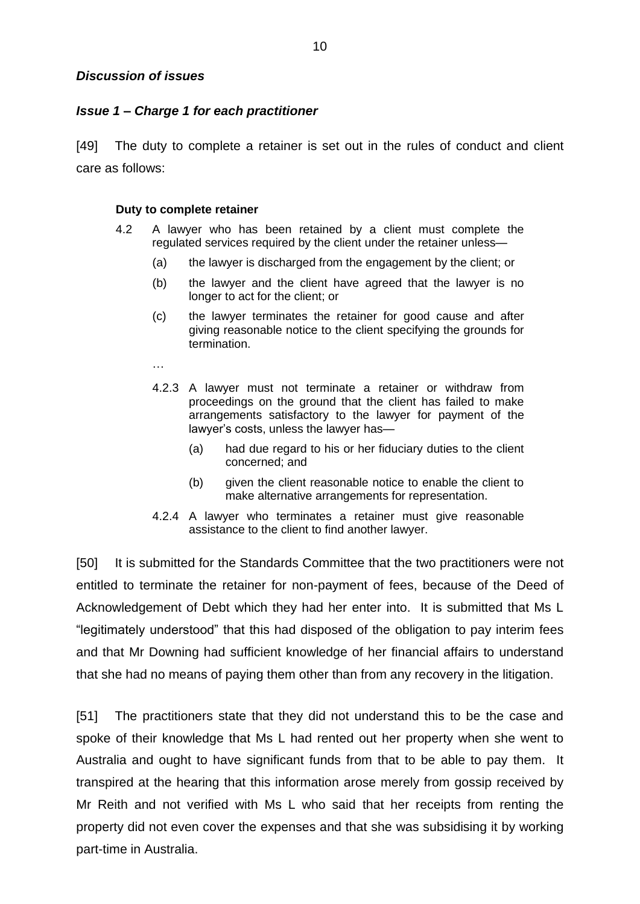## *Issue 1 – Charge 1 for each practitioner*

[49] The duty to complete a retainer is set out in the rules of conduct and client care as follows:

#### **Duty to complete retainer**

- 4.2 A lawyer who has been retained by a client must complete the regulated services required by the client under the retainer unless—
	- (a) the lawyer is discharged from the engagement by the client; or
	- (b) the lawyer and the client have agreed that the lawyer is no longer to act for the client; or
	- (c) the lawyer terminates the retainer for good cause and after giving reasonable notice to the client specifying the grounds for termination.
	- …
	- 4.2.3 A lawyer must not terminate a retainer or withdraw from proceedings on the ground that the client has failed to make arrangements satisfactory to the lawyer for payment of the lawyer's costs, unless the lawyer has—
		- (a) had due regard to his or her fiduciary duties to the client concerned; and
		- (b) given the client reasonable notice to enable the client to make alternative arrangements for representation.
	- 4.2.4 A lawyer who terminates a retainer must give reasonable assistance to the client to find another lawyer.

[50] It is submitted for the Standards Committee that the two practitioners were not entitled to terminate the retainer for non-payment of fees, because of the Deed of Acknowledgement of Debt which they had her enter into. It is submitted that Ms L "legitimately understood" that this had disposed of the obligation to pay interim fees and that Mr Downing had sufficient knowledge of her financial affairs to understand that she had no means of paying them other than from any recovery in the litigation.

[51] The practitioners state that they did not understand this to be the case and spoke of their knowledge that Ms L had rented out her property when she went to Australia and ought to have significant funds from that to be able to pay them. It transpired at the hearing that this information arose merely from gossip received by Mr Reith and not verified with Ms L who said that her receipts from renting the property did not even cover the expenses and that she was subsidising it by working part-time in Australia.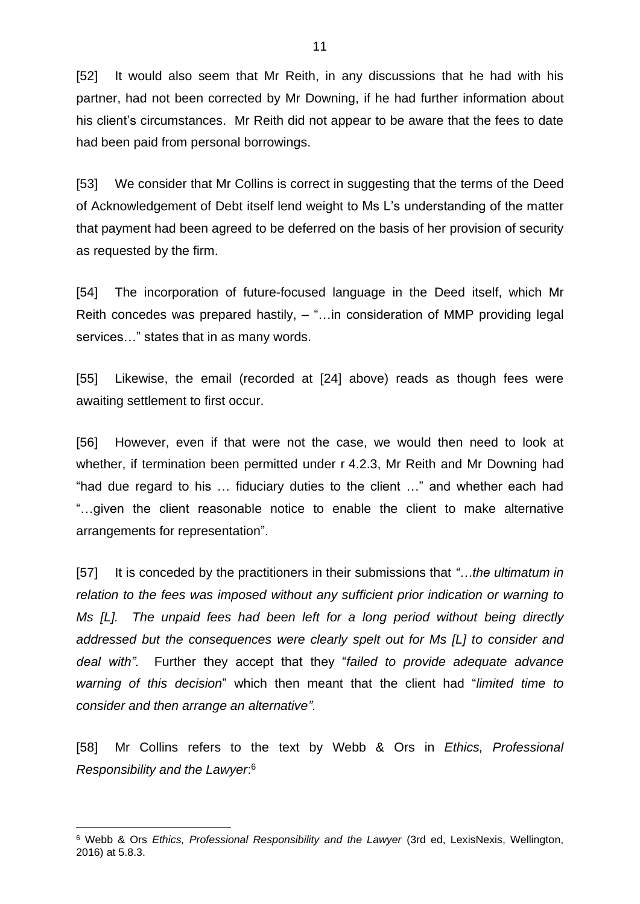[52] It would also seem that Mr Reith, in any discussions that he had with his partner, had not been corrected by Mr Downing, if he had further information about his client's circumstances. Mr Reith did not appear to be aware that the fees to date had been paid from personal borrowings.

[53] We consider that Mr Collins is correct in suggesting that the terms of the Deed of Acknowledgement of Debt itself lend weight to Ms L's understanding of the matter that payment had been agreed to be deferred on the basis of her provision of security as requested by the firm.

[54] The incorporation of future-focused language in the Deed itself, which Mr Reith concedes was prepared hastily, – "…in consideration of MMP providing legal services…" states that in as many words.

[55] Likewise, the email (recorded at [24] above) reads as though fees were awaiting settlement to first occur.

[56] However, even if that were not the case, we would then need to look at whether, if termination been permitted under r 4.2.3, Mr Reith and Mr Downing had "had due regard to his … fiduciary duties to the client …" and whether each had "…given the client reasonable notice to enable the client to make alternative arrangements for representation".

[57] It is conceded by the practitioners in their submissions that *"…the ultimatum in relation to the fees was imposed without any sufficient prior indication or warning to Ms [L]. The unpaid fees had been left for a long period without being directly addressed but the consequences were clearly spelt out for Ms [L] to consider and deal with".* Further they accept that they "*failed to provide adequate advance warning of this decision*" which then meant that the client had "*limited time to consider and then arrange an alternative".*

[58] Mr Collins refers to the text by Webb & Ors in *Ethics, Professional Responsibility and the Lawyer*: 6

<sup>6</sup> Webb & Ors *Ethics, Professional Responsibility and the Lawyer* (3rd ed, LexisNexis, Wellington, 2016) at 5.8.3.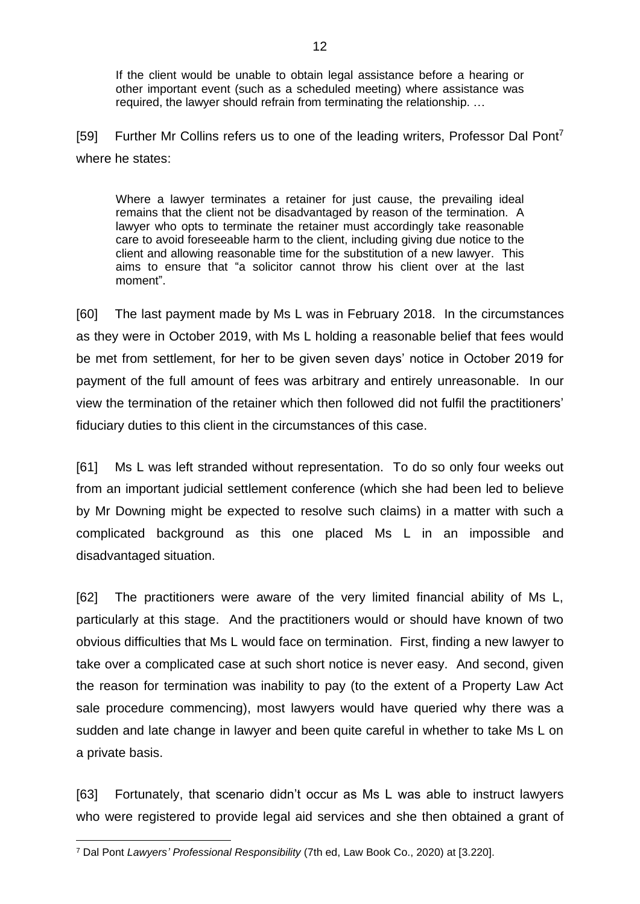If the client would be unable to obtain legal assistance before a hearing or other important event (such as a scheduled meeting) where assistance was required, the lawyer should refrain from terminating the relationship. …

[59] Further Mr Collins refers us to one of the leading writers, Professor Dal Pont<sup>7</sup> where he states:

Where a lawyer terminates a retainer for just cause, the prevailing ideal remains that the client not be disadvantaged by reason of the termination. A lawyer who opts to terminate the retainer must accordingly take reasonable care to avoid foreseeable harm to the client, including giving due notice to the client and allowing reasonable time for the substitution of a new lawyer. This aims to ensure that "a solicitor cannot throw his client over at the last moment".

[60] The last payment made by Ms L was in February 2018. In the circumstances as they were in October 2019, with Ms L holding a reasonable belief that fees would be met from settlement, for her to be given seven days' notice in October 2019 for payment of the full amount of fees was arbitrary and entirely unreasonable. In our view the termination of the retainer which then followed did not fulfil the practitioners' fiduciary duties to this client in the circumstances of this case.

[61] Ms L was left stranded without representation. To do so only four weeks out from an important judicial settlement conference (which she had been led to believe by Mr Downing might be expected to resolve such claims) in a matter with such a complicated background as this one placed Ms L in an impossible and disadvantaged situation.

[62] The practitioners were aware of the very limited financial ability of Ms L, particularly at this stage. And the practitioners would or should have known of two obvious difficulties that Ms L would face on termination. First, finding a new lawyer to take over a complicated case at such short notice is never easy. And second, given the reason for termination was inability to pay (to the extent of a Property Law Act sale procedure commencing), most lawyers would have queried why there was a sudden and late change in lawyer and been quite careful in whether to take Ms L on a private basis.

[63] Fortunately, that scenario didn't occur as Ms L was able to instruct lawyers who were registered to provide legal aid services and she then obtained a grant of

<sup>7</sup> Dal Pont *Lawyers' Professional Responsibility* (7th ed, Law Book Co., 2020) at [3.220].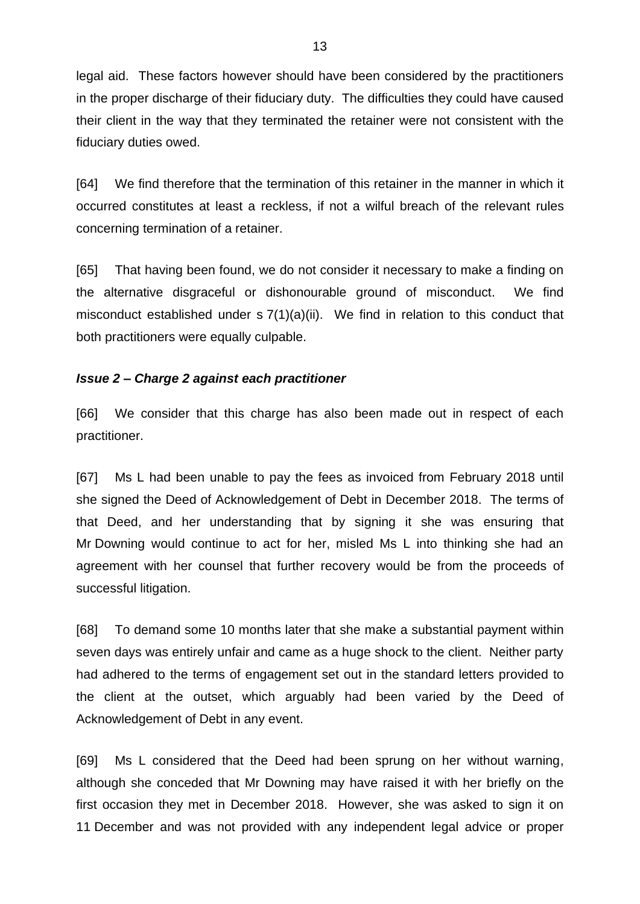legal aid. These factors however should have been considered by the practitioners in the proper discharge of their fiduciary duty. The difficulties they could have caused their client in the way that they terminated the retainer were not consistent with the fiduciary duties owed.

[64] We find therefore that the termination of this retainer in the manner in which it occurred constitutes at least a reckless, if not a wilful breach of the relevant rules concerning termination of a retainer.

[65] That having been found, we do not consider it necessary to make a finding on the alternative disgraceful or dishonourable ground of misconduct. We find misconduct established under s 7(1)(a)(ii). We find in relation to this conduct that both practitioners were equally culpable.

## *Issue 2 – Charge 2 against each practitioner*

[66] We consider that this charge has also been made out in respect of each practitioner.

[67] Ms L had been unable to pay the fees as invoiced from February 2018 until she signed the Deed of Acknowledgement of Debt in December 2018. The terms of that Deed, and her understanding that by signing it she was ensuring that Mr Downing would continue to act for her, misled Ms L into thinking she had an agreement with her counsel that further recovery would be from the proceeds of successful litigation.

[68] To demand some 10 months later that she make a substantial payment within seven days was entirely unfair and came as a huge shock to the client. Neither party had adhered to the terms of engagement set out in the standard letters provided to the client at the outset, which arguably had been varied by the Deed of Acknowledgement of Debt in any event.

[69] Ms L considered that the Deed had been sprung on her without warning, although she conceded that Mr Downing may have raised it with her briefly on the first occasion they met in December 2018. However, she was asked to sign it on 11 December and was not provided with any independent legal advice or proper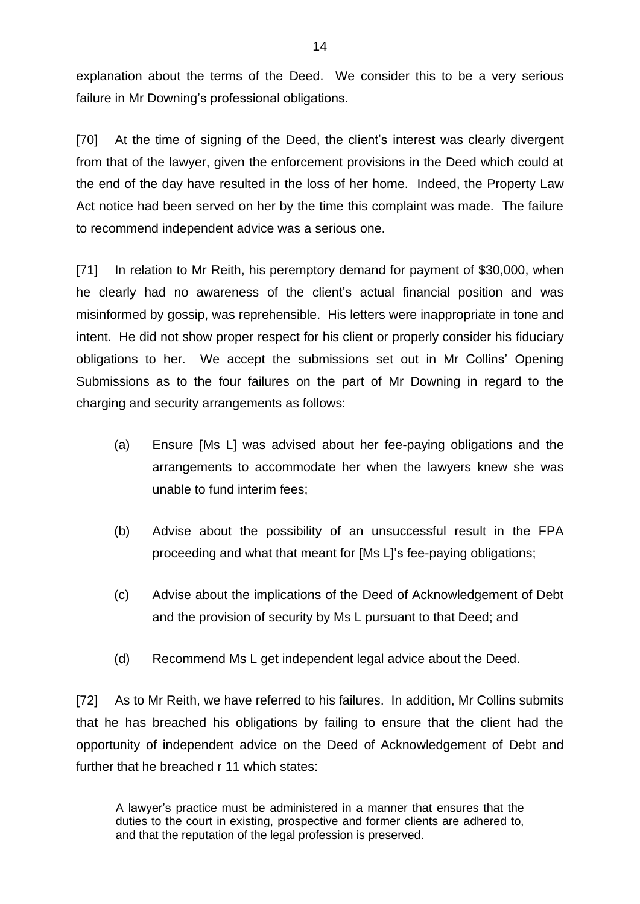explanation about the terms of the Deed. We consider this to be a very serious failure in Mr Downing's professional obligations.

[70] At the time of signing of the Deed, the client's interest was clearly divergent from that of the lawyer, given the enforcement provisions in the Deed which could at the end of the day have resulted in the loss of her home. Indeed, the Property Law Act notice had been served on her by the time this complaint was made. The failure to recommend independent advice was a serious one.

[71] In relation to Mr Reith, his peremptory demand for payment of \$30,000, when he clearly had no awareness of the client's actual financial position and was misinformed by gossip, was reprehensible. His letters were inappropriate in tone and intent. He did not show proper respect for his client or properly consider his fiduciary obligations to her. We accept the submissions set out in Mr Collins' Opening Submissions as to the four failures on the part of Mr Downing in regard to the charging and security arrangements as follows:

- (a) Ensure [Ms L] was advised about her fee-paying obligations and the arrangements to accommodate her when the lawyers knew she was unable to fund interim fees;
- (b) Advise about the possibility of an unsuccessful result in the FPA proceeding and what that meant for [Ms L]'s fee-paying obligations;
- (c) Advise about the implications of the Deed of Acknowledgement of Debt and the provision of security by Ms L pursuant to that Deed; and
- (d) Recommend Ms L get independent legal advice about the Deed.

[72] As to Mr Reith, we have referred to his failures. In addition, Mr Collins submits that he has breached his obligations by failing to ensure that the client had the opportunity of independent advice on the Deed of Acknowledgement of Debt and further that he breached r 11 which states:

A lawyer's practice must be administered in a manner that ensures that the duties to the court in existing, prospective and former clients are adhered to, and that the reputation of the legal profession is preserved.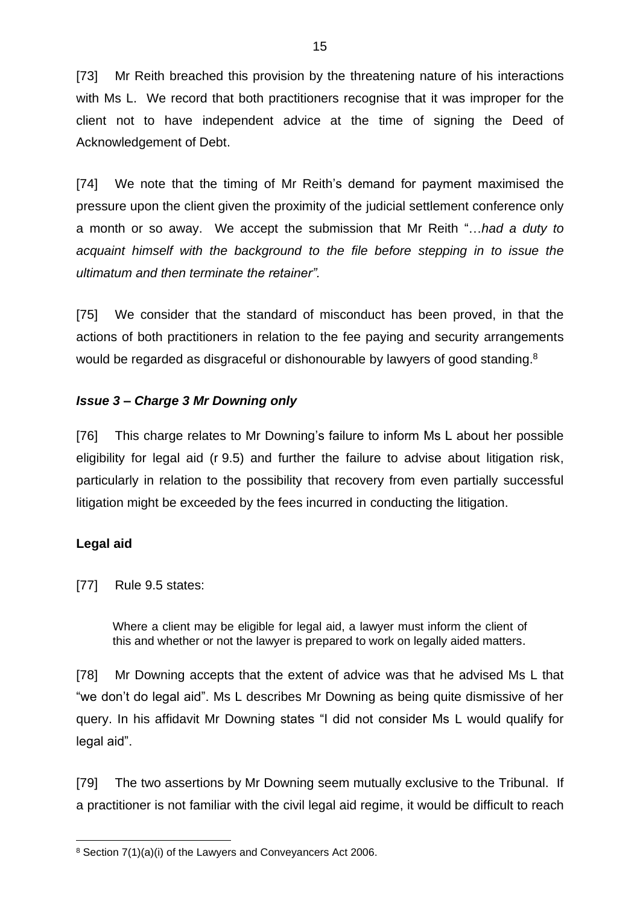[73] Mr Reith breached this provision by the threatening nature of his interactions with Ms L. We record that both practitioners recognise that it was improper for the client not to have independent advice at the time of signing the Deed of Acknowledgement of Debt.

[74] We note that the timing of Mr Reith's demand for payment maximised the pressure upon the client given the proximity of the judicial settlement conference only a month or so away. We accept the submission that Mr Reith "…*had a duty to acquaint himself with the background to the file before stepping in to issue the ultimatum and then terminate the retainer".* 

[75] We consider that the standard of misconduct has been proved, in that the actions of both practitioners in relation to the fee paying and security arrangements would be regarded as disgraceful or dishonourable by lawyers of good standing.<sup>8</sup>

## *Issue 3 – Charge 3 Mr Downing only*

[76] This charge relates to Mr Downing's failure to inform Ms L about her possible eligibility for legal aid (r 9.5) and further the failure to advise about litigation risk, particularly in relation to the possibility that recovery from even partially successful litigation might be exceeded by the fees incurred in conducting the litigation.

## **Legal aid**

[77] Rule 9.5 states:

Where a client may be eligible for legal aid, a lawyer must inform the client of this and whether or not the lawyer is prepared to work on legally aided matters.

[78] Mr Downing accepts that the extent of advice was that he advised Ms L that "we don't do legal aid". Ms L describes Mr Downing as being quite dismissive of her query. In his affidavit Mr Downing states "I did not consider Ms L would qualify for legal aid".

[79] The two assertions by Mr Downing seem mutually exclusive to the Tribunal. If a practitioner is not familiar with the civil legal aid regime, it would be difficult to reach

<sup>8</sup> Section 7(1)(a)(i) of the Lawyers and Conveyancers Act 2006.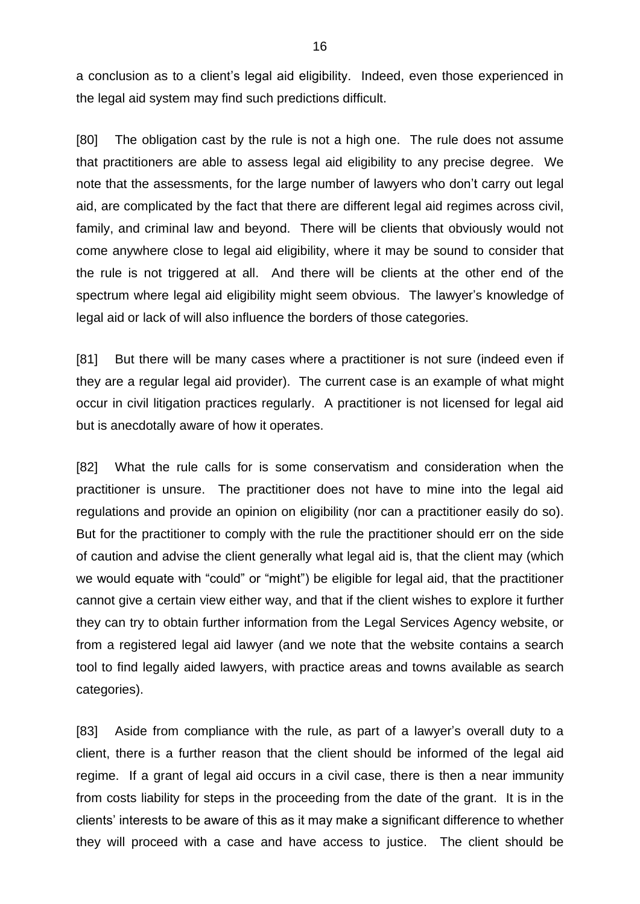a conclusion as to a client's legal aid eligibility. Indeed, even those experienced in the legal aid system may find such predictions difficult.

[80] The obligation cast by the rule is not a high one. The rule does not assume that practitioners are able to assess legal aid eligibility to any precise degree. We note that the assessments, for the large number of lawyers who don't carry out legal aid, are complicated by the fact that there are different legal aid regimes across civil, family, and criminal law and beyond. There will be clients that obviously would not come anywhere close to legal aid eligibility, where it may be sound to consider that the rule is not triggered at all. And there will be clients at the other end of the spectrum where legal aid eligibility might seem obvious. The lawyer's knowledge of legal aid or lack of will also influence the borders of those categories.

[81] But there will be many cases where a practitioner is not sure (indeed even if they are a regular legal aid provider). The current case is an example of what might occur in civil litigation practices regularly. A practitioner is not licensed for legal aid but is anecdotally aware of how it operates.

[82] What the rule calls for is some conservatism and consideration when the practitioner is unsure. The practitioner does not have to mine into the legal aid regulations and provide an opinion on eligibility (nor can a practitioner easily do so). But for the practitioner to comply with the rule the practitioner should err on the side of caution and advise the client generally what legal aid is, that the client may (which we would equate with "could" or "might") be eligible for legal aid, that the practitioner cannot give a certain view either way, and that if the client wishes to explore it further they can try to obtain further information from the Legal Services Agency website, or from a registered legal aid lawyer (and we note that the website contains a search tool to find legally aided lawyers, with practice areas and towns available as search categories).

[83] Aside from compliance with the rule, as part of a lawyer's overall duty to a client, there is a further reason that the client should be informed of the legal aid regime. If a grant of legal aid occurs in a civil case, there is then a near immunity from costs liability for steps in the proceeding from the date of the grant. It is in the clients' interests to be aware of this as it may make a significant difference to whether they will proceed with a case and have access to justice. The client should be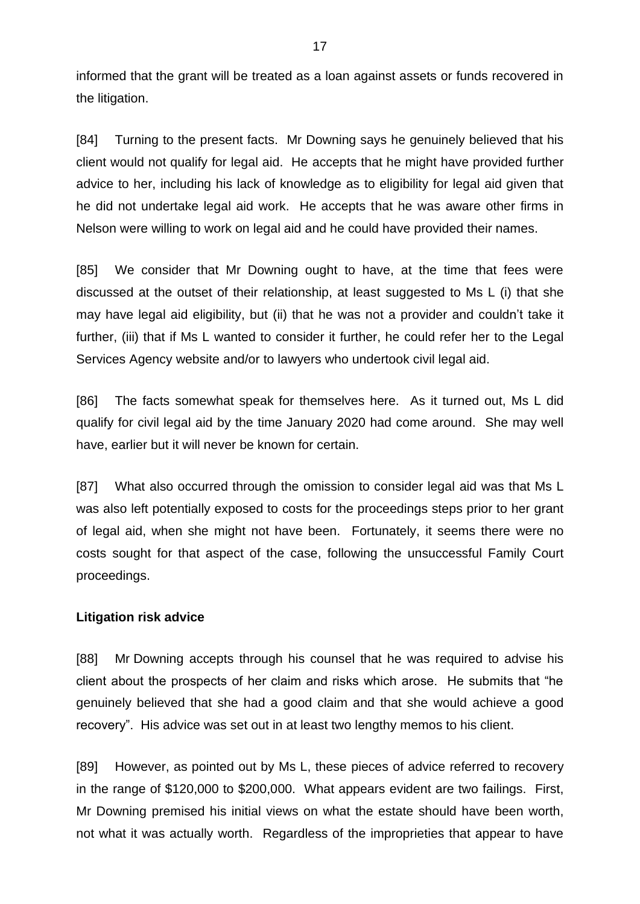informed that the grant will be treated as a loan against assets or funds recovered in the litigation.

[84] Turning to the present facts. Mr Downing says he genuinely believed that his client would not qualify for legal aid. He accepts that he might have provided further advice to her, including his lack of knowledge as to eligibility for legal aid given that he did not undertake legal aid work. He accepts that he was aware other firms in Nelson were willing to work on legal aid and he could have provided their names.

[85] We consider that Mr Downing ought to have, at the time that fees were discussed at the outset of their relationship, at least suggested to Ms L (i) that she may have legal aid eligibility, but (ii) that he was not a provider and couldn't take it further, (iii) that if Ms L wanted to consider it further, he could refer her to the Legal Services Agency website and/or to lawyers who undertook civil legal aid.

[86] The facts somewhat speak for themselves here. As it turned out, Ms L did qualify for civil legal aid by the time January 2020 had come around. She may well have, earlier but it will never be known for certain.

[87] What also occurred through the omission to consider legal aid was that Ms L was also left potentially exposed to costs for the proceedings steps prior to her grant of legal aid, when she might not have been. Fortunately, it seems there were no costs sought for that aspect of the case, following the unsuccessful Family Court proceedings.

## **Litigation risk advice**

[88] Mr Downing accepts through his counsel that he was required to advise his client about the prospects of her claim and risks which arose. He submits that "he genuinely believed that she had a good claim and that she would achieve a good recovery". His advice was set out in at least two lengthy memos to his client.

[89] However, as pointed out by Ms L, these pieces of advice referred to recovery in the range of \$120,000 to \$200,000. What appears evident are two failings. First, Mr Downing premised his initial views on what the estate should have been worth, not what it was actually worth. Regardless of the improprieties that appear to have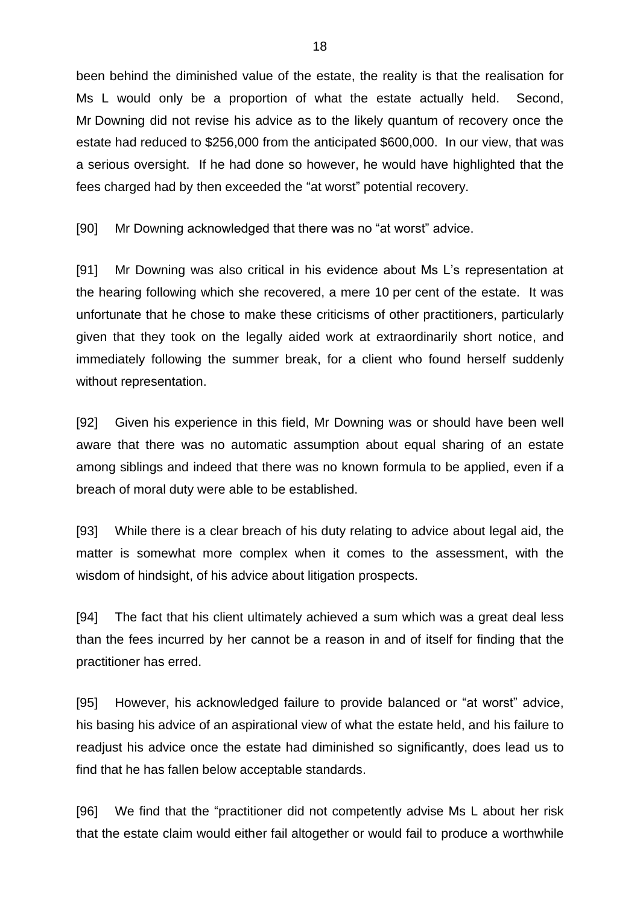been behind the diminished value of the estate, the reality is that the realisation for Ms L would only be a proportion of what the estate actually held. Second, Mr Downing did not revise his advice as to the likely quantum of recovery once the estate had reduced to \$256,000 from the anticipated \$600,000. In our view, that was a serious oversight. If he had done so however, he would have highlighted that the fees charged had by then exceeded the "at worst" potential recovery.

[90] Mr Downing acknowledged that there was no "at worst" advice.

[91] Mr Downing was also critical in his evidence about Ms L's representation at the hearing following which she recovered, a mere 10 per cent of the estate. It was unfortunate that he chose to make these criticisms of other practitioners, particularly given that they took on the legally aided work at extraordinarily short notice, and immediately following the summer break, for a client who found herself suddenly without representation.

[92] Given his experience in this field, Mr Downing was or should have been well aware that there was no automatic assumption about equal sharing of an estate among siblings and indeed that there was no known formula to be applied, even if a breach of moral duty were able to be established.

[93] While there is a clear breach of his duty relating to advice about legal aid, the matter is somewhat more complex when it comes to the assessment, with the wisdom of hindsight, of his advice about litigation prospects.

[94] The fact that his client ultimately achieved a sum which was a great deal less than the fees incurred by her cannot be a reason in and of itself for finding that the practitioner has erred.

[95] However, his acknowledged failure to provide balanced or "at worst" advice, his basing his advice of an aspirational view of what the estate held, and his failure to readjust his advice once the estate had diminished so significantly, does lead us to find that he has fallen below acceptable standards.

[96] We find that the "practitioner did not competently advise Ms L about her risk that the estate claim would either fail altogether or would fail to produce a worthwhile